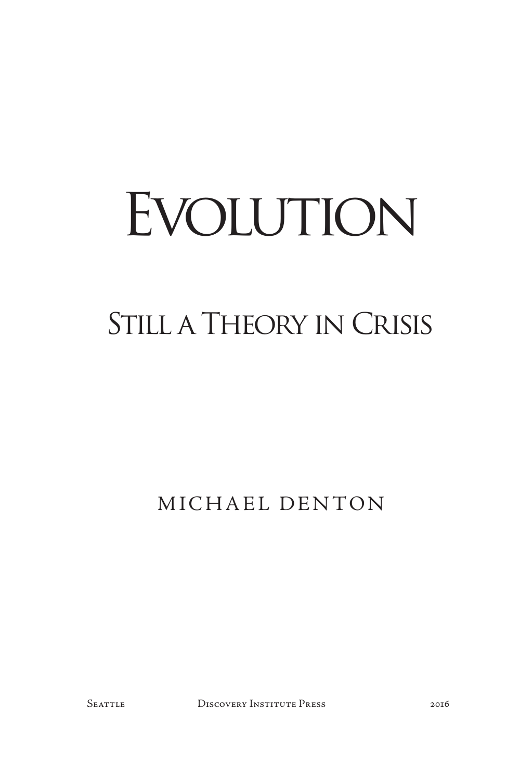# EVOLUTION

# Still a Theory in Crisis

MICHAEL DENTON

SEATTLE DISCOVERY INSTITUTE PRESS 2016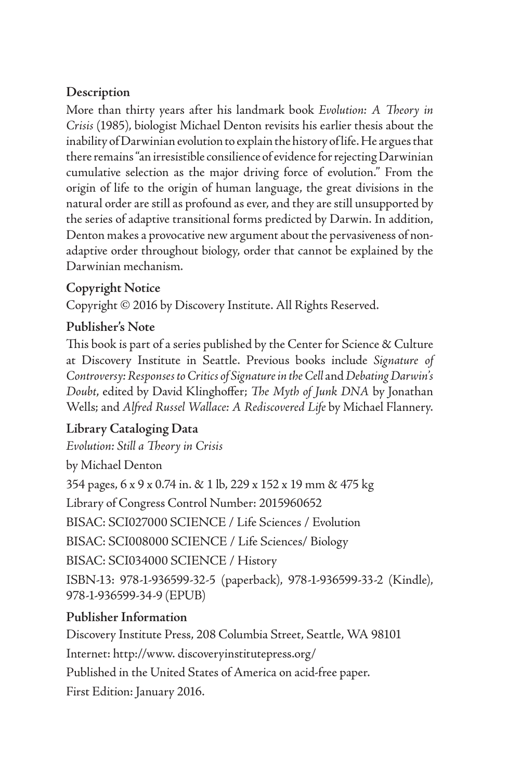# **Description**

More than thirty years after his landmark book *Evolution: A Theory in Crisis* (1985), biologist Michael Denton revisits his earlier thesis about the inability of Darwinian evolution to explain the history of life. He argues that there remains "an irresistible consilience of evidence for rejecting Darwinian cumulative selection as the major driving force of evolution." From the origin of life to the origin of human language, the great divisions in the natural order are still as profound as ever, and they are still unsupported by the series of adaptive transitional forms predicted by Darwin. In addition, Denton makes a provocative new argument about the pervasiveness of nonadaptive order throughout biology, order that cannot be explained by the Darwinian mechanism.

# **Copyright Notice**

Copyright © 2016 by Discovery Institute. All Rights Reserved.

# **Publisher's Note**

This book is part of a series published by the Center for Science & Culture at Discovery Institute in Seattle. Previous books include *Signature of Controversy: Responses to Critics of Signature in the Cell* and *Debating Darwin's Doubt*, edited by David Klinghoffer; *The Myth of Junk DNA* by Jonathan Wells; and *Alfred Russel Wallace: A Rediscovered Life* by Michael Flannery.

# **Library Cataloging Data**

*Evolution: Still a Theory in Crisis* by Michael Denton 354 pages, 6 x 9 x 0.74 in. & 1 lb, 229 x 152 x 19 mm & 475 kg Library of Congress Control Number: 2015960652 BISAC: SCI027000 SCIENCE / Life Sciences / Evolution BISAC: SCI008000 SCIENCE / Life Sciences/ Biology BISAC: SCI034000 SCIENCE / History ISBN-13: 978-1-936599-32-5 (paperback), 978-1-936599-33-2 (Kindle), 978-1-936599-34-9 (EPUB)

## **Publisher Information**

Discovery Institute Press, 208 Columbia Street, Seattle, WA 98101 Internet: http://www. discoveryinstitutepress.org/ Published in the United States of America on acid-free paper. First Edition: January 2016.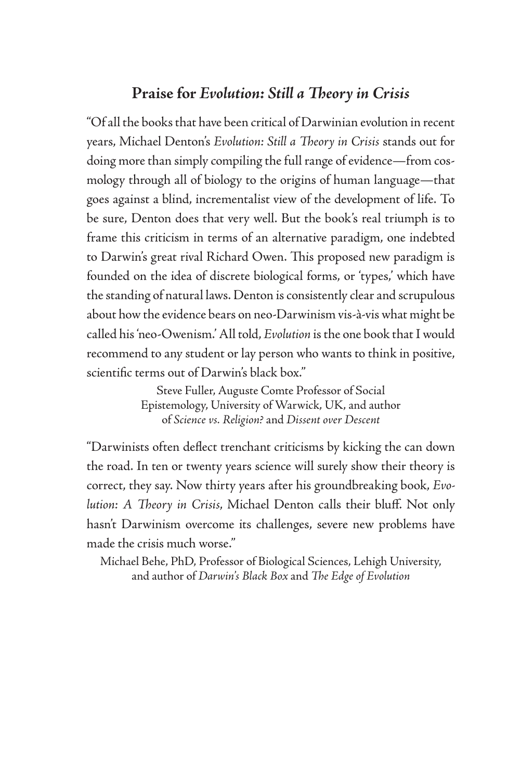## **Praise for** *Evolution: Still a Theory in Crisis*

"Of all the books that have been critical of Darwinian evolution in recent years, Michael Denton's *Evolution: Still a Theory in Crisis* stands out for doing more than simply compiling the full range of evidence—from cosmology through all of biology to the origins of human language—that goes against a blind, incrementalist view of the development of life. To be sure, Denton does that very well. But the book's real triumph is to frame this criticism in terms of an alternative paradigm, one indebted to Darwin's great rival Richard Owen. This proposed new paradigm is founded on the idea of discrete biological forms, or 'types,' which have the standing of natural laws. Denton is consistently clear and scrupulous about how the evidence bears on neo-Darwinism vis-à-vis what might be called his 'neo-Owenism.' All told, *Evolution* is the one book that I would recommend to any student or lay person who wants to think in positive, scientific terms out of Darwin's black box."

> Steve Fuller, Auguste Comte Professor of Social Epistemology, University of Warwick, UK, and author of *Science vs. Religion?* and *Dissent over Descent*

"Darwinists often deflect trenchant criticisms by kicking the can down the road. In ten or twenty years science will surely show their theory is correct, they say. Now thirty years after his groundbreaking book, *Evolution: A Theory in Crisis*, Michael Denton calls their bluff. Not only hasn't Darwinism overcome its challenges, severe new problems have made the crisis much worse."

Michael Behe, PhD, Professor of Biological Sciences, Lehigh University, and author of *Darwin's Black Box* and *The Edge of Evolution*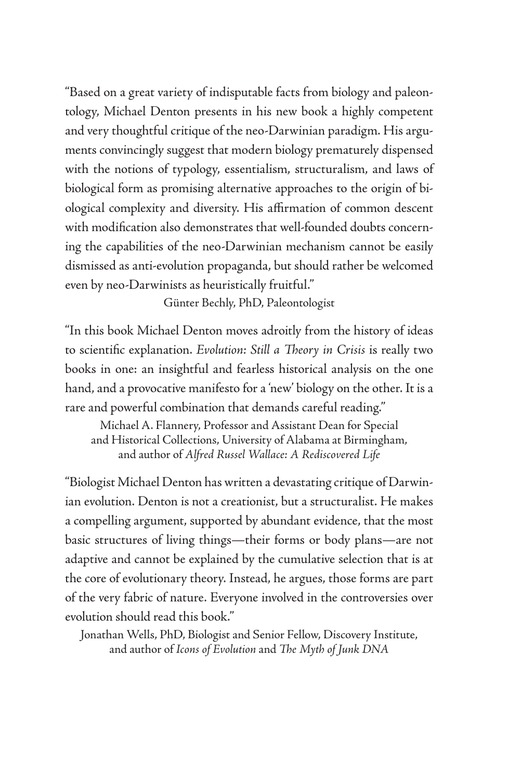"Based on a great variety of indisputable facts from biology and paleontology, Michael Denton presents in his new book a highly competent and very thoughtful critique of the neo-Darwinian paradigm. His arguments convincingly suggest that modern biology prematurely dispensed with the notions of typology, essentialism, structuralism, and laws of biological form as promising alternative approaches to the origin of biological complexity and diversity. His affirmation of common descent with modification also demonstrates that well-founded doubts concerning the capabilities of the neo-Darwinian mechanism cannot be easily dismissed as anti-evolution propaganda, but should rather be welcomed even by neo-Darwinists as heuristically fruitful."

Günter Bechly, PhD, Paleontologist

"In this book Michael Denton moves adroitly from the history of ideas to scientific explanation. *Evolution: Still a Theory in Crisis* is really two books in one: an insightful and fearless historical analysis on the one hand, and a provocative manifesto for a 'new' biology on the other. It is a rare and powerful combination that demands careful reading."

Michael A. Flannery, Professor and Assistant Dean for Special and Historical Collections, University of Alabama at Birmingham, and author of *Alfred Russel Wallace: A Rediscovered Life*

"Biologist Michael Denton has written a devastating critique of Darwinian evolution. Denton is not a creationist, but a structuralist. He makes a compelling argument, supported by abundant evidence, that the most basic structures of living things—their forms or body plans—are not adaptive and cannot be explained by the cumulative selection that is at the core of evolutionary theory. Instead, he argues, those forms are part of the very fabric of nature. Everyone involved in the controversies over evolution should read this book."

Jonathan Wells, PhD, Biologist and Senior Fellow, Discovery Institute, and author of *Icons of Evolution* and *The Myth of Junk DNA*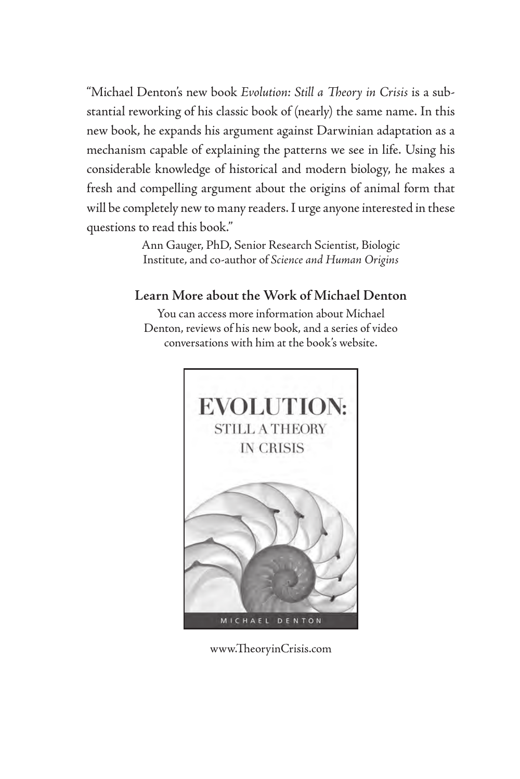"Michael Denton's new book *Evolution: Still a Theory in Crisis* is a substantial reworking of his classic book of (nearly) the same name. In this new book, he expands his argument against Darwinian adaptation as a mechanism capable of explaining the patterns we see in life. Using his considerable knowledge of historical and modern biology, he makes a fresh and compelling argument about the origins of animal form that will be completely new to many readers. I urge anyone interested in these questions to read this book."

> Ann Gauger, PhD, Senior Research Scientist, Biologic Institute, and co-author of *Science and Human Origins*

### **Learn More about the Work of Michael Denton**

You can access more information about Michael Denton, reviews of his new book, and a series of video conversations with him at the book's website.



www.TheoryinCrisis.com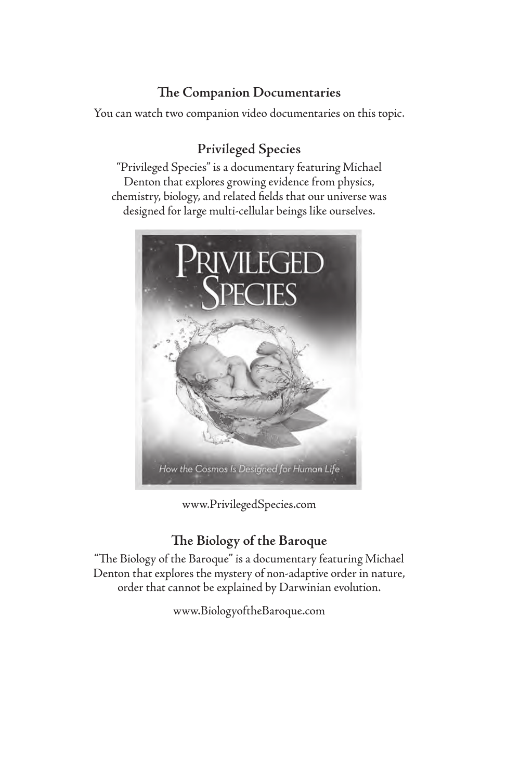# **The Companion Documentaries**

You can watch two companion video documentaries on this topic.

# **Privileged Species**

"Privileged Species" is a documentary featuring Michael Denton that explores growing evidence from physics, chemistry, biology, and related fields that our universe was designed for large multi-cellular beings like ourselves.



www.PrivilegedSpecies.com

# **The Biology of the Baroque**

"The Biology of the Baroque" is a documentary featuring Michael Denton that explores the mystery of non-adaptive order in nature, order that cannot be explained by Darwinian evolution.

www.BiologyoftheBaroque.com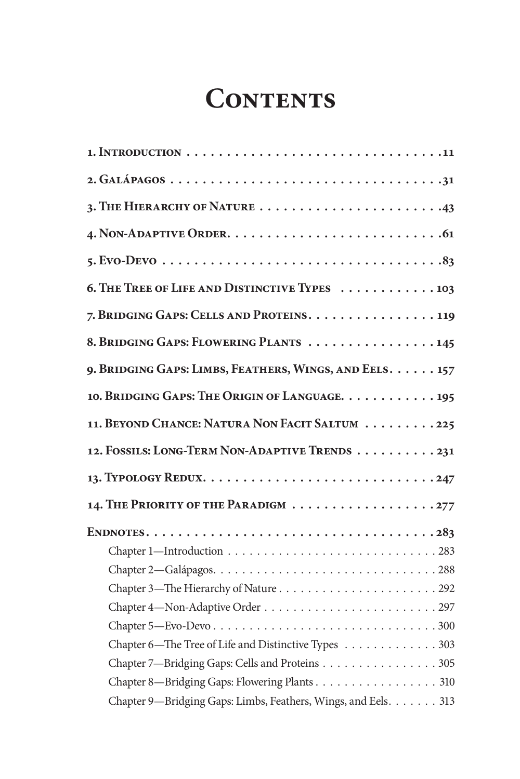# **Contents**

| 3. THE HIERARCHY OF NATURE  43                                 |
|----------------------------------------------------------------|
|                                                                |
|                                                                |
| 6. THE TREE OF LIFE AND DISTINCTIVE TYPES  103                 |
| 7. BRIDGING GAPS: CELLS AND PROTEINS. 119                      |
| 8. BRIDGING GAPS: FLOWERING PLANTS 145                         |
| 9. Bridging Gaps: Limbs, Feathers, Wings, and Eels. 157        |
| 10. BRIDGING GAPS: THE ORIGIN OF LANGUAGE. 195                 |
| 11. BEYOND CHANCE: NATURA NON FACIT SALTUM 225                 |
| 12. FOSSILS: LONG-TERM NON-ADAPTIVE TRENDS 231                 |
|                                                                |
| 14. THE PRIORITY OF THE PARADIGM 277                           |
|                                                                |
|                                                                |
|                                                                |
|                                                                |
|                                                                |
|                                                                |
| Chapter 6—The Tree of Life and Distinctive Types 303           |
| Chapter 7-Bridging Gaps: Cells and Proteins 305                |
| Chapter 8-Bridging Gaps: Flowering Plants 310                  |
| Chapter 9—Bridging Gaps: Limbs, Feathers, Wings, and Eels. 313 |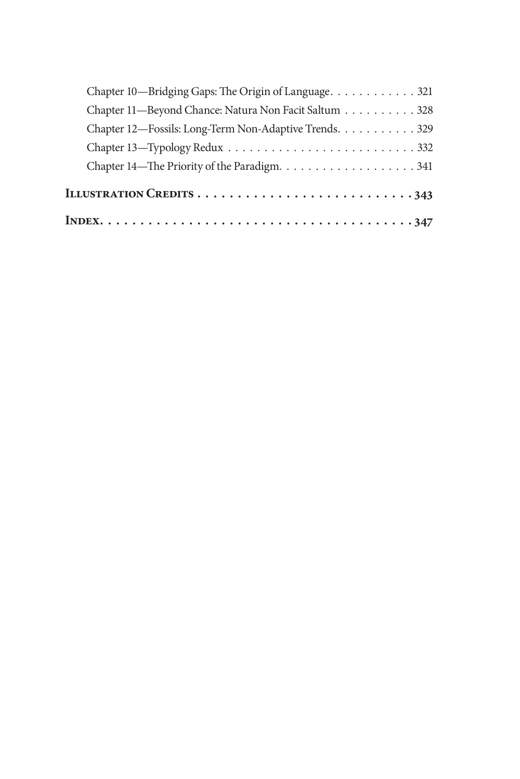| Chapter 12-Fossils: Long-Term Non-Adaptive Trends. 329 |
|--------------------------------------------------------|
| Chapter 11-Beyond Chance: Natura Non Facit Saltum 328  |
| Chapter 10—Bridging Gaps: The Origin of Language. 321  |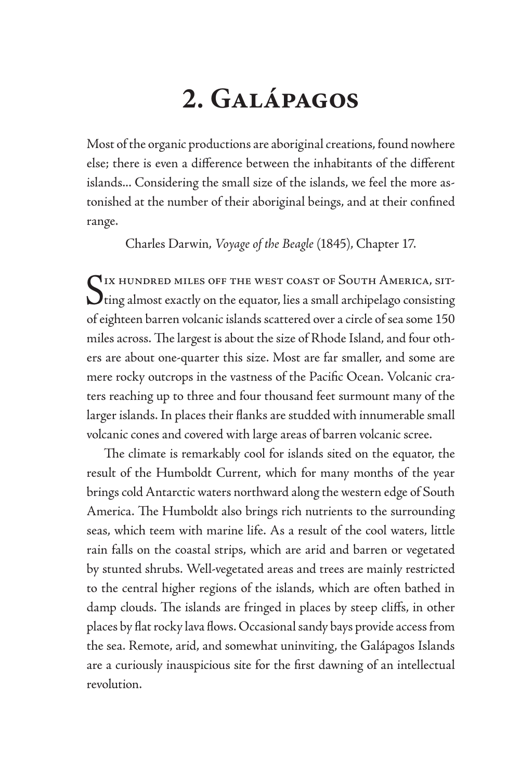# **2. Galápagos**

Most of the organic productions are aboriginal creations, found nowhere else; there is even a difference between the inhabitants of the different islands... Considering the small size of the islands, we feel the more astonished at the number of their aboriginal beings, and at their confined range.

Charles Darwin, *Voyage of the Beagle* (1845), Chapter 17.

SIX HUNDRED MILES OFF THE WEST COAST OF SOUTH AMERICA, SITTIng almost exactly on the equator, lies a small archipelago consisting of eighteen barren volcanic islands scattered over a circle of sea some 150 miles across. The largest is about the size of Rhode Island, and four others are about one-quarter this size. Most are far smaller, and some are mere rocky outcrops in the vastness of the Pacific Ocean. Volcanic craters reaching up to three and four thousand feet surmount many of the larger islands. In places their flanks are studded with innumerable small volcanic cones and covered with large areas of barren volcanic scree.

The climate is remarkably cool for islands sited on the equator, the result of the Humboldt Current, which for many months of the year brings cold Antarctic waters northward along the western edge of South America. The Humboldt also brings rich nutrients to the surrounding seas, which teem with marine life. As a result of the cool waters, little rain falls on the coastal strips, which are arid and barren or vegetated by stunted shrubs. Well-vegetated areas and trees are mainly restricted to the central higher regions of the islands, which are often bathed in damp clouds. The islands are fringed in places by steep cliffs, in other places by flat rocky lava flows. Occasional sandy bays provide access from the sea. Remote, arid, and somewhat uninviting, the Galápagos Islands are a curiously inauspicious site for the first dawning of an intellectual revolution.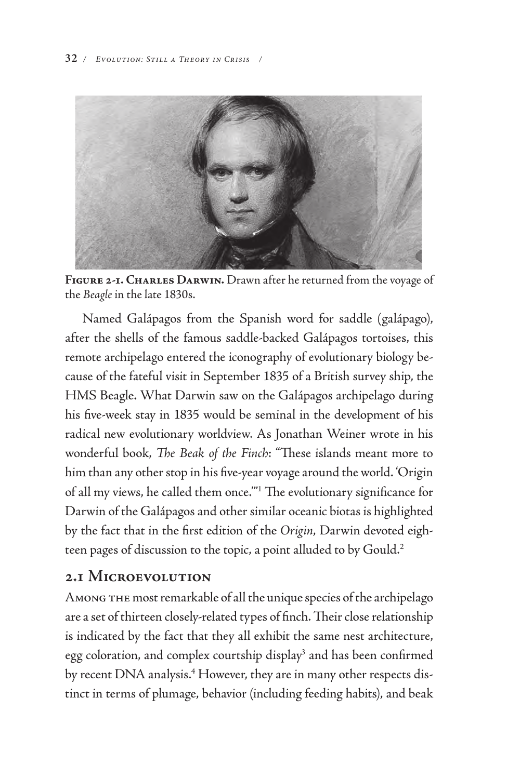

**Figure 2-1. Charles Darwin.** Drawn after he returned from the voyage of the *Beagle* in the late 1830s.

Named Galápagos from the Spanish word for saddle (galápago), after the shells of the famous saddle-backed Galápagos tortoises, this remote archipelago entered the iconography of evolutionary biology because of the fateful visit in September 1835 of a British survey ship, the HMS Beagle. What Darwin saw on the Galápagos archipelago during his five-week stay in 1835 would be seminal in the development of his radical new evolutionary worldview. As Jonathan Weiner wrote in his wonderful book, *The Beak of the Finch*: "These islands meant more to him than any other stop in his five-year voyage around the world. 'Origin of all my views, he called them once.'"1 The evolutionary significance for Darwin of the Galápagos and other similar oceanic biotas is highlighted by the fact that in the first edition of the *Origin*, Darwin devoted eighteen pages of discussion to the topic, a point alluded to by Gould.<sup>2</sup>

# **2.1 Microevolution**

Among the most remarkable of all the unique species of the archipelago are a set of thirteen closely-related types of finch. Their close relationship is indicated by the fact that they all exhibit the same nest architecture, egg coloration, and complex courtship display<sup>3</sup> and has been confirmed by recent DNA analysis.4 However, they are in many other respects distinct in terms of plumage, behavior (including feeding habits), and beak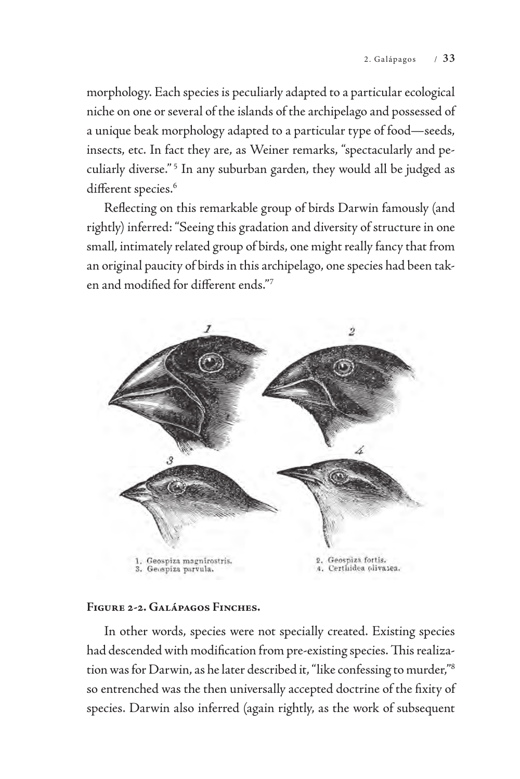morphology. Each species is peculiarly adapted to a particular ecological niche on one or several of the islands of the archipelago and possessed of a unique beak morphology adapted to a particular type of food—seeds, insects, etc. In fact they are, as Weiner remarks, "spectacularly and peculiarly diverse."<sup>5</sup> In any suburban garden, they would all be judged as different species.<sup>6</sup>

Reflecting on this remarkable group of birds Darwin famously (and rightly) inferred: "Seeing this gradation and diversity of structure in one small, intimately related group of birds, one might really fancy that from an original paucity of birds in this archipelago, one species had been taken and modified for different ends."7



#### **Figure 2-2. Galápagos Finches.**

In other words, species were not specially created. Existing species had descended with modification from pre-existing species. This realization was for Darwin, as he later described it, "like confessing to murder,"8 so entrenched was the then universally accepted doctrine of the fixity of species. Darwin also inferred (again rightly, as the work of subsequent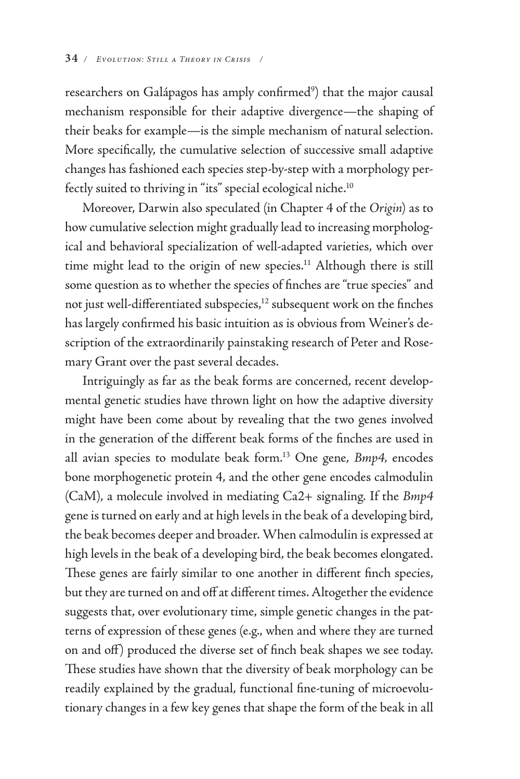researchers on Galápagos has amply confirmed<sup>9</sup>) that the major causal mechanism responsible for their adaptive divergence—the shaping of their beaks for example—is the simple mechanism of natural selection. More specifically, the cumulative selection of successive small adaptive changes has fashioned each species step-by-step with a morphology perfectly suited to thriving in "its" special ecological niche.<sup>10</sup>

Moreover, Darwin also speculated (in Chapter 4 of the *Origin*) as to how cumulative selection might gradually lead to increasing morphological and behavioral specialization of well-adapted varieties, which over time might lead to the origin of new species.<sup>11</sup> Although there is still some question as to whether the species of finches are "true species" and not just well-differentiated subspecies,<sup>12</sup> subsequent work on the finches has largely confirmed his basic intuition as is obvious from Weiner's description of the extraordinarily painstaking research of Peter and Rosemary Grant over the past several decades.

Intriguingly as far as the beak forms are concerned, recent developmental genetic studies have thrown light on how the adaptive diversity might have been come about by revealing that the two genes involved in the generation of the different beak forms of the finches are used in all avian species to modulate beak form.13 One gene, *Bmp4,* encodes bone morphogenetic protein 4, and the other gene encodes calmodulin (CaM), a molecule involved in mediating Ca2+ signaling. If the *Bmp4* gene is turned on early and at high levels in the beak of a developing bird, the beak becomes deeper and broader. When calmodulin is expressed at high levels in the beak of a developing bird, the beak becomes elongated. These genes are fairly similar to one another in different finch species, but they are turned on and off at different times. Altogether the evidence suggests that, over evolutionary time, simple genetic changes in the patterns of expression of these genes (e.g., when and where they are turned on and off) produced the diverse set of finch beak shapes we see today. These studies have shown that the diversity of beak morphology can be readily explained by the gradual, functional fine-tuning of microevolutionary changes in a few key genes that shape the form of the beak in all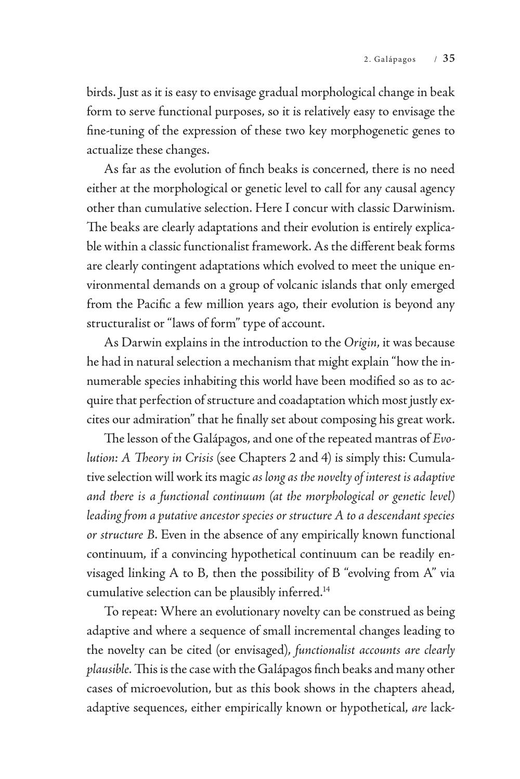birds. Just as it is easy to envisage gradual morphological change in beak form to serve functional purposes, so it is relatively easy to envisage the fine-tuning of the expression of these two key morphogenetic genes to actualize these changes.

As far as the evolution of finch beaks is concerned, there is no need either at the morphological or genetic level to call for any causal agency other than cumulative selection. Here I concur with classic Darwinism. The beaks are clearly adaptations and their evolution is entirely explicable within a classic functionalist framework. As the different beak forms are clearly contingent adaptations which evolved to meet the unique environmental demands on a group of volcanic islands that only emerged from the Pacific a few million years ago, their evolution is beyond any structuralist or "laws of form" type of account.

As Darwin explains in the introduction to the *Origin*, it was because he had in natural selection a mechanism that might explain "how the innumerable species inhabiting this world have been modified so as to acquire that perfection of structure and coadaptation which most justly excites our admiration" that he finally set about composing his great work.

The lesson of the Galápagos, and one of the repeated mantras of *Evolution: A Theory in Crisis* (see Chapters 2 and 4) is simply this: Cumulative selection will work its magic *as long as the novelty of interest is adaptive and there is a functional continuum (at the morphological or genetic level) leading from a putative ancestor species or structure A to a descendant species or structure B*. Even in the absence of any empirically known functional continuum, if a convincing hypothetical continuum can be readily envisaged linking A to B, then the possibility of B "evolving from A" via cumulative selection can be plausibly inferred.14

To repeat: Where an evolutionary novelty can be construed as being adaptive and where a sequence of small incremental changes leading to the novelty can be cited (or envisaged), *functionalist accounts are clearly plausible.* This is the case with the Galápagos finch beaks and many other cases of microevolution, but as this book shows in the chapters ahead, adaptive sequences, either empirically known or hypothetical, *are* lack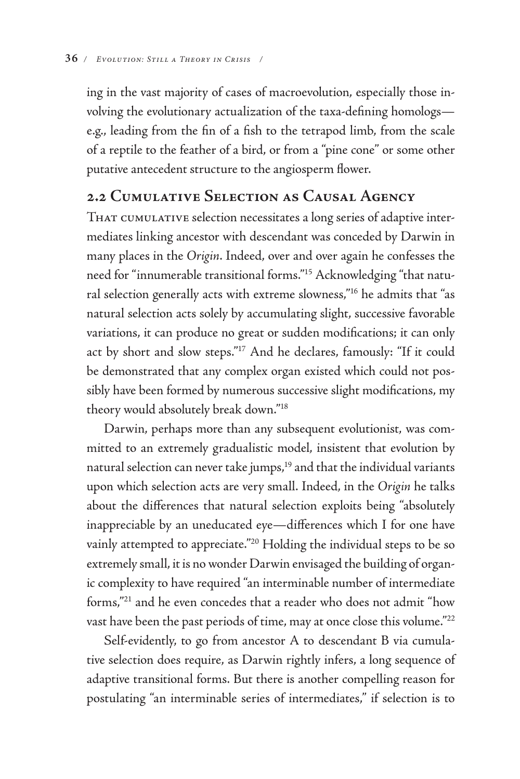ing in the vast majority of cases of macroevolution, especially those involving the evolutionary actualization of the taxa-defining homologs e.g., leading from the fin of a fish to the tetrapod limb, from the scale of a reptile to the feather of a bird, or from a "pine cone" or some other putative antecedent structure to the angiosperm flower.

# **2.2 Cumulative Selection as Causal Agency**

THAT CUMULATIVE selection necessitates a long series of adaptive intermediates linking ancestor with descendant was conceded by Darwin in many places in the *Origin*. Indeed, over and over again he confesses the need for "innumerable transitional forms."15 Acknowledging "that natural selection generally acts with extreme slowness,"16 he admits that "as natural selection acts solely by accumulating slight, successive favorable variations, it can produce no great or sudden modifications; it can only act by short and slow steps."17 And he declares, famously: "If it could be demonstrated that any complex organ existed which could not possibly have been formed by numerous successive slight modifications, my theory would absolutely break down."18

Darwin, perhaps more than any subsequent evolutionist, was committed to an extremely gradualistic model, insistent that evolution by natural selection can never take jumps,<sup>19</sup> and that the individual variants upon which selection acts are very small. Indeed, in the *Origin* he talks about the differences that natural selection exploits being "absolutely inappreciable by an uneducated eye—differences which I for one have vainly attempted to appreciate."20 Holding the individual steps to be so extremely small, it is no wonder Darwin envisaged the building of organic complexity to have required "an interminable number of intermediate forms,"21 and he even concedes that a reader who does not admit "how vast have been the past periods of time, may at once close this volume."<sup>22</sup>

Self-evidently, to go from ancestor A to descendant B via cumulative selection does require, as Darwin rightly infers, a long sequence of adaptive transitional forms. But there is another compelling reason for postulating "an interminable series of intermediates," if selection is to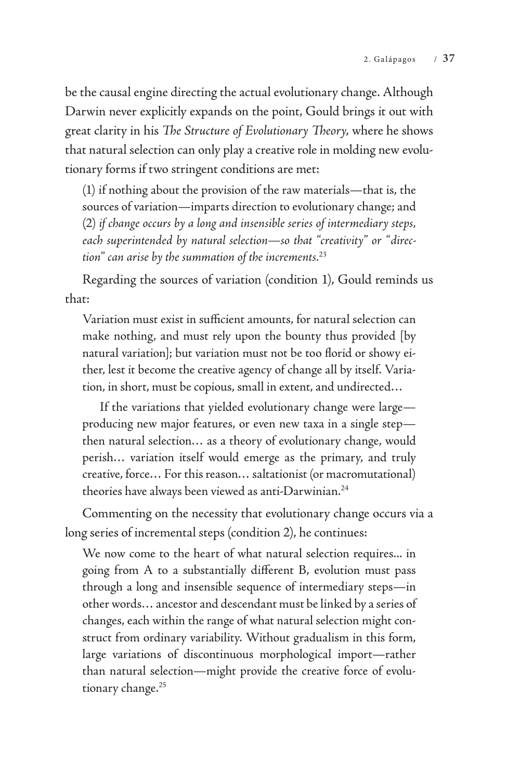be the causal engine directing the actual evolutionary change. Although Darwin never explicitly expands on the point, Gould brings it out with great clarity in his *The Structure of Evolutionary Theory*, where he shows that natural selection can only play a creative role in molding new evolutionary forms if two stringent conditions are met:

(1) if nothing about the provision of the raw materials—that is, the sources of variation—imparts direction to evolutionary change; and (2) *if change occurs by a long and insensible series of intermediary steps, each superintended by natural selection—so that "creativity" or "direction" can arise by the summation of the increments.*<sup>23</sup>

Regarding the sources of variation (condition 1), Gould reminds us that:

Variation must exist in sufficient amounts, for natural selection can make nothing, and must rely upon the bounty thus provided [by natural variation]; but variation must not be too florid or showy either, lest it become the creative agency of change all by itself. Variation, in short, must be copious, small in extent, and undirected…

If the variations that yielded evolutionary change were large producing new major features, or even new taxa in a single step then natural selection… as a theory of evolutionary change, would perish… variation itself would emerge as the primary, and truly creative, force… For this reason… saltationist (or macromutational) theories have always been viewed as anti-Darwinian.<sup>24</sup>

Commenting on the necessity that evolutionary change occurs via a long series of incremental steps (condition 2), he continues:

We now come to the heart of what natural selection requires... in going from A to a substantially different B, evolution must pass through a long and insensible sequence of intermediary steps—in other words… ancestor and descendant must be linked by a series of changes, each within the range of what natural selection might construct from ordinary variability. Without gradualism in this form, large variations of discontinuous morphological import—rather than natural selection—might provide the creative force of evolutionary change.<sup>25</sup>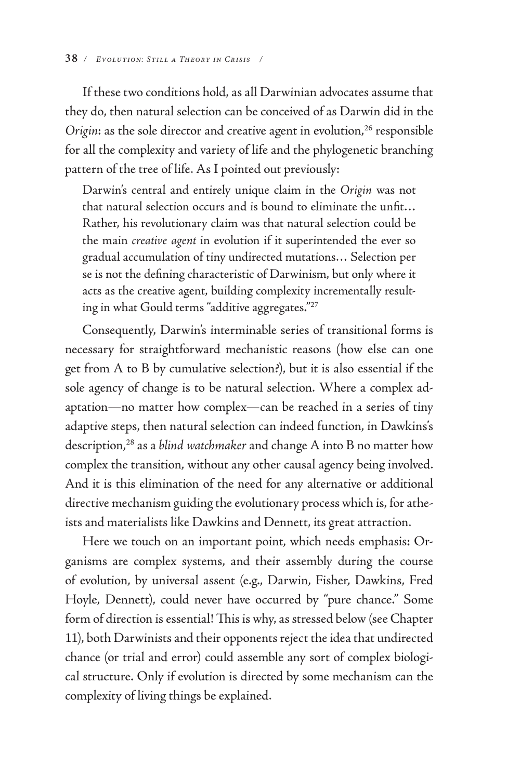If these two conditions hold, as all Darwinian advocates assume that they do, then natural selection can be conceived of as Darwin did in the *Origin*: as the sole director and creative agent in evolution,<sup>26</sup> responsible for all the complexity and variety of life and the phylogenetic branching pattern of the tree of life. As I pointed out previously:

Darwin's central and entirely unique claim in the *Origin* was not that natural selection occurs and is bound to eliminate the unfit… Rather, his revolutionary claim was that natural selection could be the main *creative agent* in evolution if it superintended the ever so gradual accumulation of tiny undirected mutations… Selection per se is not the defining characteristic of Darwinism, but only where it acts as the creative agent, building complexity incrementally resulting in what Gould terms "additive aggregates."27

Consequently, Darwin's interminable series of transitional forms is necessary for straightforward mechanistic reasons (how else can one get from A to B by cumulative selection?), but it is also essential if the sole agency of change is to be natural selection. Where a complex adaptation—no matter how complex—can be reached in a series of tiny adaptive steps, then natural selection can indeed function, in Dawkins's description,28 as a *blind watchmaker* and change A into B no matter how complex the transition, without any other causal agency being involved. And it is this elimination of the need for any alternative or additional directive mechanism guiding the evolutionary process which is, for atheists and materialists like Dawkins and Dennett, its great attraction.

Here we touch on an important point, which needs emphasis: Organisms are complex systems, and their assembly during the course of evolution, by universal assent (e.g., Darwin, Fisher, Dawkins, Fred Hoyle, Dennett), could never have occurred by "pure chance." Some form of direction is essential! This is why, as stressed below (see Chapter 11), both Darwinists and their opponents reject the idea that undirected chance (or trial and error) could assemble any sort of complex biological structure. Only if evolution is directed by some mechanism can the complexity of living things be explained.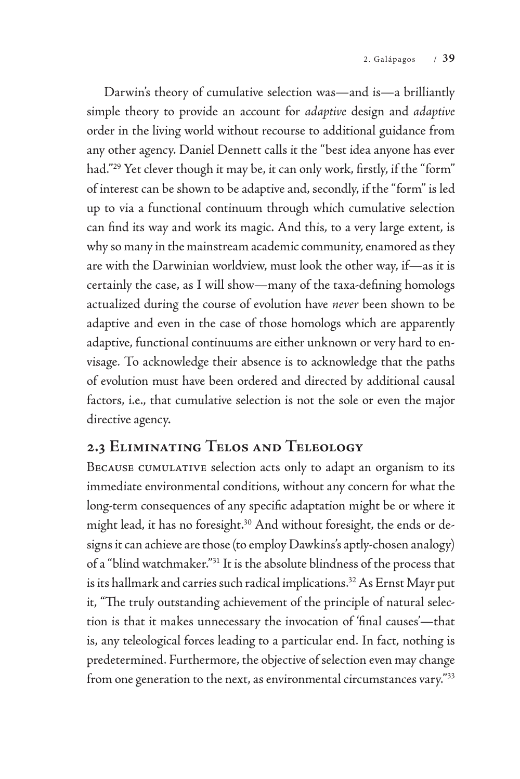Darwin's theory of cumulative selection was—and is—a brilliantly simple theory to provide an account for *adaptive* design and *adaptive* order in the living world without recourse to additional guidance from any other agency. Daniel Dennett calls it the "best idea anyone has ever had."<sup>29</sup> Yet clever though it may be, it can only work, firstly, if the "form" of interest can be shown to be adaptive and, secondly, if the "form" is led up to via a functional continuum through which cumulative selection can find its way and work its magic. And this, to a very large extent, is why so many in the mainstream academic community, enamored as they are with the Darwinian worldview, must look the other way, if—as it is certainly the case, as I will show—many of the taxa-defining homologs actualized during the course of evolution have *never* been shown to be adaptive and even in the case of those homologs which are apparently adaptive, functional continuums are either unknown or very hard to envisage*.* To acknowledge their absence is to acknowledge that the paths of evolution must have been ordered and directed by additional causal factors, i.e., that cumulative selection is not the sole or even the major directive agency.

# **2.3 Eliminating Telos and Teleology**

BECAUSE CUMULATIVE selection acts only to adapt an organism to its immediate environmental conditions, without any concern for what the long-term consequences of any specific adaptation might be or where it might lead, it has no foresight.<sup>30</sup> And without foresight, the ends or designs it can achieve are those (to employ Dawkins's aptly-chosen analogy) of a "blind watchmaker."31 It is the absolute blindness of the process that is its hallmark and carries such radical implications.<sup>32</sup> As Ernst Mayr put it, "The truly outstanding achievement of the principle of natural selection is that it makes unnecessary the invocation of 'final causes'—that is, any teleological forces leading to a particular end. In fact, nothing is predetermined. Furthermore, the objective of selection even may change from one generation to the next, as environmental circumstances vary."33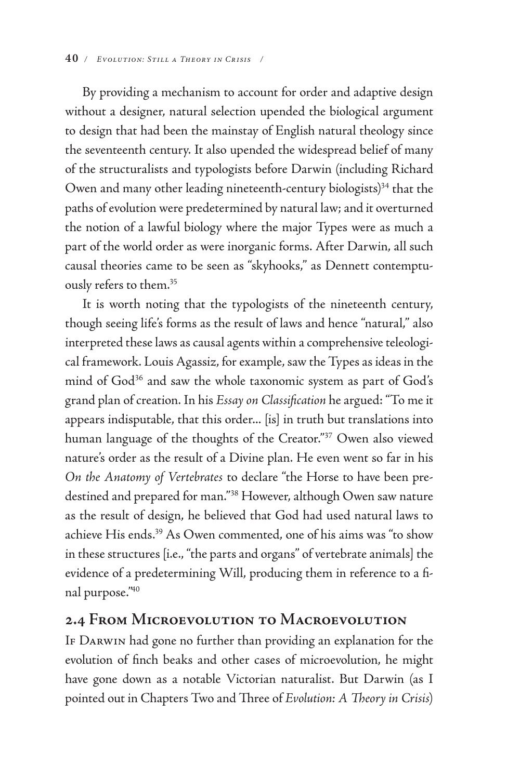By providing a mechanism to account for order and adaptive design without a designer, natural selection upended the biological argument to design that had been the mainstay of English natural theology since the seventeenth century. It also upended the widespread belief of many of the structuralists and typologists before Darwin (including Richard Owen and many other leading nineteenth-century biologists)<sup>34</sup> that the paths of evolution were predetermined by natural law; and it overturned the notion of a lawful biology where the major Types were as much a part of the world order as were inorganic forms. After Darwin, all such causal theories came to be seen as "skyhooks," as Dennett contemptuously refers to them.35

It is worth noting that the typologists of the nineteenth century, though seeing life's forms as the result of laws and hence "natural," also interpreted these laws as causal agents within a comprehensive teleological framework. Louis Agassiz, for example, saw the Types as ideas in the mind of God<sup>36</sup> and saw the whole taxonomic system as part of God's grand plan of creation. In his *Essay on Classification* he argued: "To me it appears indisputable, that this order... [is] in truth but translations into human language of the thoughts of the Creator."37 Owen also viewed nature's order as the result of a Divine plan. He even went so far in his *On the Anatomy of Vertebrates* to declare "the Horse to have been predestined and prepared for man."38 However, although Owen saw nature as the result of design, he believed that God had used natural laws to achieve His ends.39 As Owen commented, one of his aims was "to show in these structures [i.e., "the parts and organs" of vertebrate animals] the evidence of a predetermining Will, producing them in reference to a final purpose."40

#### **2.4 From Microevolution to Macroevolution**

If Darwin had gone no further than providing an explanation for the evolution of finch beaks and other cases of microevolution, he might have gone down as a notable Victorian naturalist. But Darwin (as I pointed out in Chapters Two and Three of *Evolution: A Theory in Crisis*)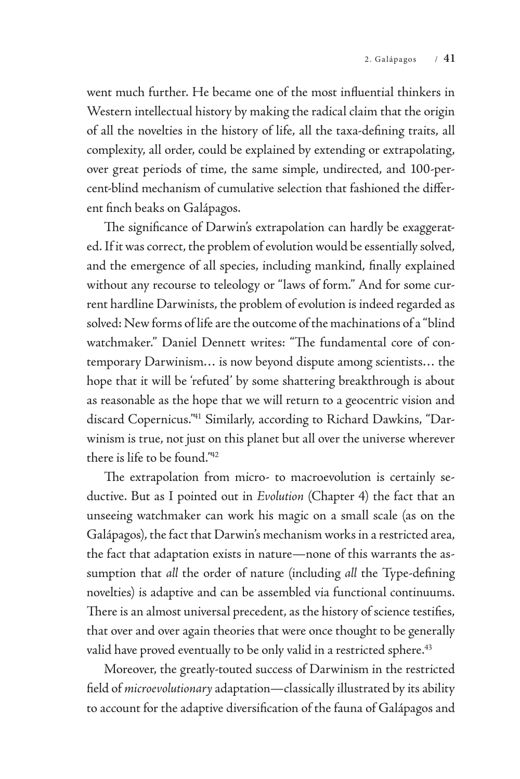went much further. He became one of the most influential thinkers in Western intellectual history by making the radical claim that the origin of all the novelties in the history of life, all the taxa-defining traits, all complexity, all order, could be explained by extending or extrapolating, over great periods of time, the same simple, undirected, and 100-percent-blind mechanism of cumulative selection that fashioned the different finch beaks on Galápagos.

The significance of Darwin's extrapolation can hardly be exaggerated. If it was correct, the problem of evolution would be essentially solved, and the emergence of all species, including mankind, finally explained without any recourse to teleology or "laws of form." And for some current hardline Darwinists, the problem of evolution is indeed regarded as solved: New forms of life are the outcome of the machinations of a "blind watchmaker." Daniel Dennett writes: "The fundamental core of contemporary Darwinism… is now beyond dispute among scientists… the hope that it will be 'refuted' by some shattering breakthrough is about as reasonable as the hope that we will return to a geocentric vision and discard Copernicus."41 Similarly, according to Richard Dawkins, "Darwinism is true, not just on this planet but all over the universe wherever there is life to be found."42

The extrapolation from micro- to macroevolution is certainly seductive. But as I pointed out in *Evolution* (Chapter 4) the fact that an unseeing watchmaker can work his magic on a small scale (as on the Galápagos), the fact that Darwin's mechanism works in a restricted area, the fact that adaptation exists in nature—none of this warrants the assumption that *all* the order of nature (including *all* the Type-defining novelties) is adaptive and can be assembled via functional continuums. There is an almost universal precedent, as the history of science testifies, that over and over again theories that were once thought to be generally valid have proved eventually to be only valid in a restricted sphere.<sup>43</sup>

Moreover, the greatly-touted success of Darwinism in the restricted field of *microevolutionary* adaptation—classically illustrated by its ability to account for the adaptive diversification of the fauna of Galápagos and